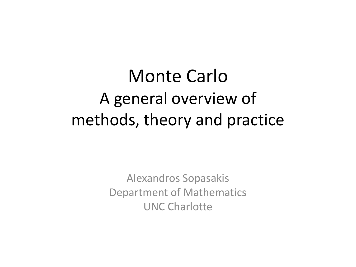# Monte Carlo A general overview of methods, theory and practice

Alexandros Sopasakis Department of Mathematics UNC Charlotte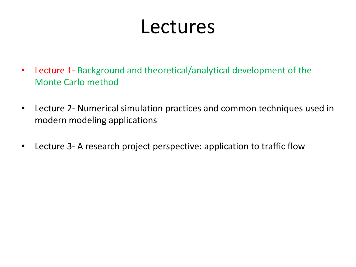# Lectures

- Lecture 1- Background and theoretical/analytical development of the Monte Carlo method
- Lecture 2- Numerical simulation practices and common techniques used in modern modeling applications
- Lecture 3- A research project perspective: application to traffic flow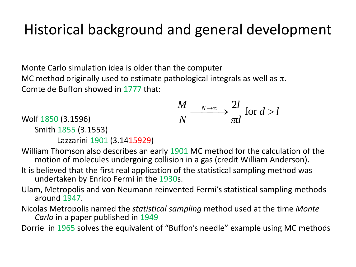## Historical background and general development

Monte Carlo simulation idea is older than the computer MC method originally used to estimate pathological integrals as well as  $\pi$ . Comte de Buffon showed in 1777 that:

$$
\frac{M}{N} \xrightarrow{N \to \infty} \frac{2l}{\pi d} \text{ for } d > l
$$

Wolf 1850 (3.1596)

Smith 1855 (3.1553)

Lazzarini 1901 (3.1415929)

William Thomson also describes an early 1901 MC method for the calculation of the motion of molecules undergoing collision in a gas (credit William Anderson).

- It is believed that the first real application of the statistical sampling method was undertaken by Enrico Fermi in the 1930s.
- Ulam, Metropolis and von Neumann reinvented Fermi's statistical sampling methods around 1947.
- Nicolas Metropolis named the *statistical sampling* method used at the time *Monte Carlo* in a paper published in 1949

Dorrie in 1965 solves the equivalent of "Buffon's needle" example using MC methods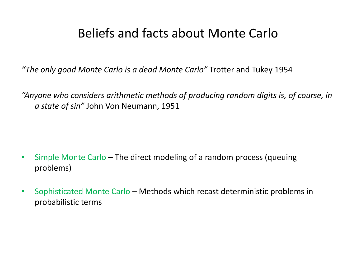#### Beliefs and facts about Monte Carlo

*"The only good Monte Carlo is a dead Monte Carlo"* Trotter and Tukey 1954

*"Anyone who considers arithmetic methods of producing random digits is, of course, in a state of sin"* John Von Neumann, 1951

- Simple Monte Carlo The direct modeling of a random process (queuing problems)
- Sophisticated Monte Carlo Methods which recast deterministic problems in probabilistic terms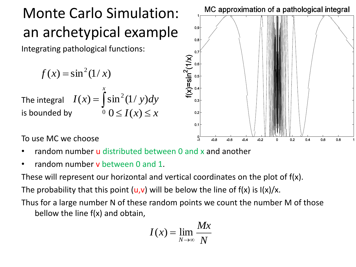# Monte Carlo Simulation: an archetypical example

Integrating pathological functions:

$$
f(x) = \sin^2(1/x)
$$

The integral  $I(x) =$ is bounded by  $0 \leq I(x) \leq x$ *x*  $I(x) = \int \sin^2(1/y)dy$ 

 $0.9$  $0.8$  $0.7$  $0.3$  $0.2$  $0.1$  $-0.2$  $-0.6$  $-0.4$  $0.2$  $0.4$  $0.6$ -0.8  $0.8$ 

MC approximation of a pathological integral

To use MC we choose

- random number u distributed between 0 and x and another
- random number **v** between 0 and 1.

These will represent our horizontal and vertical coordinates on the plot of f(x).

The probability that this point  $(u,v)$  will be below the line of  $f(x)$  is  $I(x)/x$ .

Thus for a large number N of these random points we count the number M of those bellow the line f(x) and obtain,  $\int \sin^2(1/y)dy$ <br>  $0 \le I(x) \le x$ <br>
distributed between 0 and<br>
between 0 and 1.<br>
ur horizontal and vertical<br>
is point (**u,v**) will be belov<br>
er N of these random poir<br>
and obtain,<br>  $I(x) = \lim$ 

$$
I(x) = \lim_{N \to \infty} \frac{Mx}{N}
$$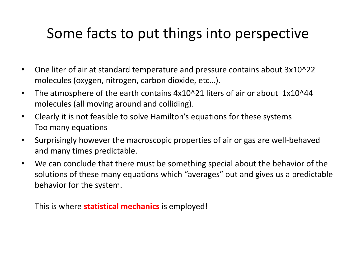## Some facts to put things into perspective

- One liter of air at standard temperature and pressure contains about 3x10^22 molecules (oxygen, nitrogen, carbon dioxide, etc…).
- The atmosphere of the earth contains 4x10^21 liters of air or about 1x10^44 molecules (all moving around and colliding).
- Clearly it is not feasible to solve Hamilton's equations for these systems Too many equations
- Surprisingly however the macroscopic properties of air or gas are well-behaved and many times predictable.
- We can conclude that there must be something special about the behavior of the solutions of these many equations which "averages" out and gives us a predictable behavior for the system.

This is where **statistical mechanics** is employed!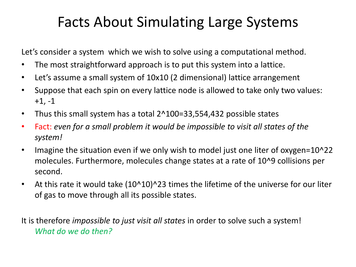## Facts About Simulating Large Systems

Let's consider a system which we wish to solve using a computational method.

- The most straightforward approach is to put this system into a lattice.
- Let's assume a small system of 10x10 (2 dimensional) lattice arrangement
- Suppose that each spin on every lattice node is allowed to take only two values:  $+1, -1$
- Thus this small system has a total 2^100=33,554,432 possible states
- Fact: *even for a small problem it would be impossible to visit all states of the system!*
- Imagine the situation even if we only wish to model just one liter of oxygen=10^22 molecules. Furthermore, molecules change states at a rate of 10^9 collisions per second.
- At this rate it would take (10^10)^23 times the lifetime of the universe for our liter of gas to move through all its possible states.

It is therefore *impossible to just visit all states* in order to solve such a system! *What do we do then?*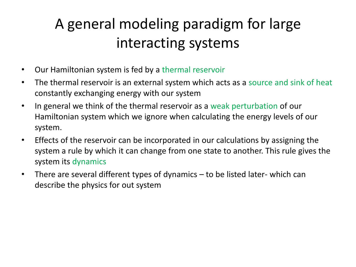## A general modeling paradigm for large interacting systems

- Our Hamiltonian system is fed by a thermal reservoir
- The thermal reservoir is an external system which acts as a source and sink of heat constantly exchanging energy with our system
- In general we think of the thermal reservoir as a weak perturbation of our Hamiltonian system which we ignore when calculating the energy levels of our system.
- Effects of the reservoir can be incorporated in our calculations by assigning the system a rule by which it can change from one state to another. This rule gives the system its dynamics
- There are several different types of dynamics to be listed later- which can describe the physics for out system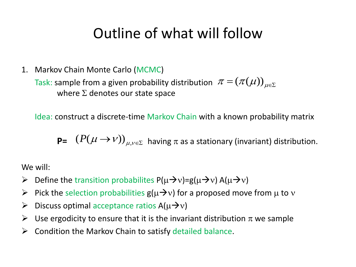## Outline of what will follow

1. Markov Chain Monte Carlo (MCMC)

Task: sample from a given probability distribution  $\pi = (\pi(\mu))_{\mu \in \Sigma}$ where  $\Sigma$  denotes our state space

Idea: construct a discrete-time Markov Chain with a known probability matrix

$$
\mathbf{P} = (P(\mu \to \nu))_{\mu, \nu \in \Sigma} \text{ having } \pi \text{ as a stationary (invariant) distribution.}
$$

We will:

- $\triangleright$  Define the transition probabilites P( $\mu \rightarrow v$ )=g( $\mu \rightarrow v$ ) A( $\mu \rightarrow v$ )
- $\triangleright$  Pick the selection probabilities  $g(\mu\rightarrow v)$  for a proposed move from  $\mu$  to v
- $\triangleright$  Discuss optimal acceptance ratios A( $\mu \rightarrow v$ )
- $\triangleright$  Use ergodicity to ensure that it is the invariant distribution  $\pi$  we sample
- $\triangleright$  Condition the Markov Chain to satisfy detailed balance.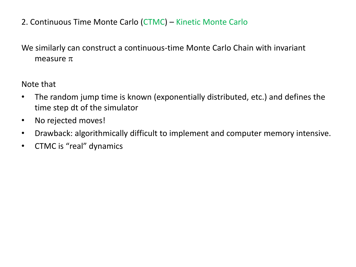2. Continuous Time Monte Carlo (CTMC) – Kinetic Monte Carlo

#### We similarly can construct a continuous-time Monte Carlo Chain with invariant measure  $\pi$

Note that

- The random jump time is known (exponentially distributed, etc.) and defines the time step dt of the simulator
- No rejected moves!
- Drawback: algorithmically difficult to implement and computer memory intensive.
- CTMC is "real" dynamics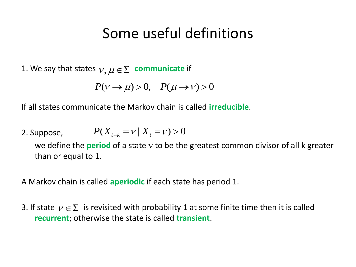#### Some useful definitions

1. We say that states  $v, \mu \in \Sigma$  communicate if

$$
P(\nu \to \mu) > 0, \quad P(\mu \to \nu) > 0
$$

If all states communicate the Markov chain is called **irreducible**.

2. Suppose,  $P(X_{t+k} = v \mid X_t = v) > 0$ 

we define the **period** of a state y to be the greatest common divisor of all k greater than or equal to 1.

A Markov chain is called **aperiodic** if each state has period 1.

3. If state  $v \in \Sigma$  is revisited with probability 1 at some finite time then it is called **recurrent**; otherwise the state is called **transient**.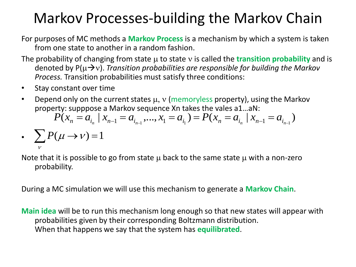## Markov Processes-building the Markov Chain

For purposes of MC methods a **Markov Process** is a mechanism by which a system is taken from one state to another in a random fashion.

- The probability of changing from state  $\mu$  to state v is called the **transition probability** and is denoted by  $P(\mu\rightarrow v)$ . *Transition probabilities are responsible for building the Markov Process.* Transition probabilities must satisfy three conditions:
- Stay constant over time
- Depend only on the current states  $\mu$ ,  $\nu$  (memoryless property), using the Markov property: supppose a Markov sequence Xn takes the vales a1…aN:

$$
P(x_n = a_{i_n} \mid x_{n-1} = a_{i_{n-1}},..., x_1 = a_{i_1}) = P(x_n = a_{i_n} \mid x_{n-1} = a_{i_{n-1}})
$$

•  $\sum P(\mu \to \nu) = 1$  $\mathcal V$ 

Note that it is possible to go from state  $\mu$  back to the same state  $\mu$  with a non-zero probability.

During a MC simulation we will use this mechanism to generate a **Markov Chain**.

**Main idea** will be to run this mechanism long enough so that new states will appear with probabilities given by their corresponding Boltzmann distribution. When that happens we say that the system has **equilibrated**.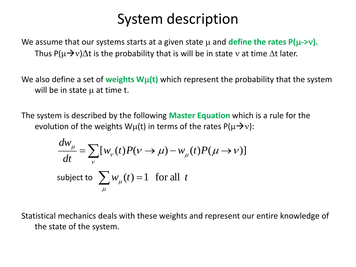### System description

We assume that our systems starts at a given state  $\mu$  and **define the rates P(** $\mu$ **->v).** Thus P( $\mu\rightarrow v$ ) $\Delta t$  is the probability that is will be in state v at time  $\Delta t$  later.

We also define a set of weights Wu(t) which represent the probability that the system will be in state  $\mu$  at time t.

The system is described by the following **Master Equation** which is a rule for the evolution of the weights  $W\mu(t)$  in terms of the rates  $P(\mu\rightarrow v)$ :

$$
\frac{dw_{\mu}}{dt} = \sum_{v} [w_{v}(t)P(v \rightarrow \mu) - w_{\mu}(t)P(\mu \rightarrow v)]
$$
  
subject to  $\sum_{\mu} w_{\mu}(t) = 1$  for all  $t$ 

Statistical mechanics deals with these weights and represent our entire knowledge of the state of the system.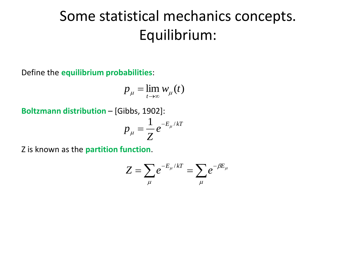## Some statistical mechanics concepts. Equilibrium:

Define the **equilibrium probabilities**:

$$
p_{\mu} = \lim_{t \to \infty} w_{\mu}(t)
$$

**Boltzmann distribution** – [Gibbs, 1902]:

$$
p_{\mu} = \frac{1}{Z} e^{-E_{\mu}/kT}
$$

Z is known as the **partition function**.

$$
Z = \sum_{\mu} e^{-E_{\mu}/kT} = \sum_{\mu} e^{-\beta E_{\mu}}
$$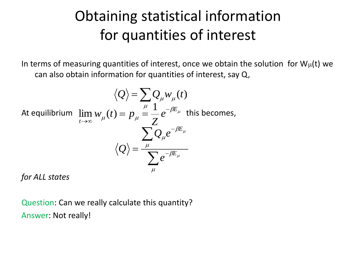## Obtaining statistical information for quantities of interest

In terms of measuring quantities of interest, once we obtain the solution for  $W_{\mu}(t)$  we can also obtain information for quantities of interest, say Q,

$$
\langle Q \rangle = \sum_{\mu} Q_{\mu} w_{\mu}(t)
$$
  
At equilibrium  $\lim_{t \to \infty} w_{\mu}(t) = p_{\mu} = \frac{1}{Z} e^{-\beta E_{\mu}}$  this becomes,  

$$
\langle Q \rangle = \frac{\sum_{\mu} Q_{\mu} e^{-\beta E_{\mu}}}{\sum_{\mu} e^{-\beta E_{\mu}}}
$$

*for ALL states*

Question: Can we really calculate this quantity? Answer: Not really!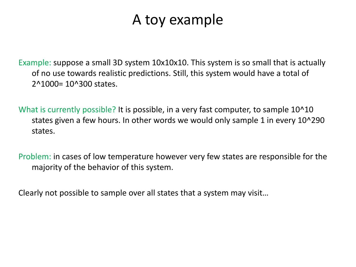#### A toy example

Example: suppose a small 3D system 10x10x10. This system is so small that is actually of no use towards realistic predictions. Still, this system would have a total of 2^1000= 10^300 states.

What is currently possible? It is possible, in a very fast computer, to sample 10^10 states given a few hours. In other words we would only sample 1 in every 10^290 states.

Problem: in cases of low temperature however very few states are responsible for the majority of the behavior of this system.

Clearly not possible to sample over all states that a system may visit…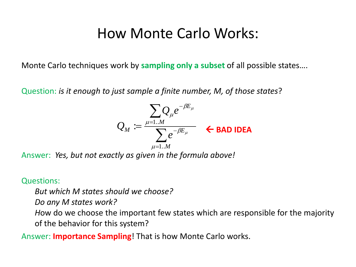#### How Monte Carlo Works:

Monte Carlo techniques work by **sampling only a subset** of all possible states….

Question: *is it enough to just sample a finite number, M, of those states*?

$$
Q_M := \frac{\sum_{\mu=1..M} Q_{\mu} e^{-\beta E_{\mu}}}{\sum_{\mu=1..M} e^{-\beta E_{\mu}}} \quad \text{6.54.222}
$$

Answer: *Yes, but not exactly as given in the formula above!* 

#### Questions:

*But which M states should we choose?* 

*Do any M states work?* 

*H*ow do we choose the important few states which are responsible for the majority of the behavior for this system?

Answer: **Importance Sampling**! That is how Monte Carlo works.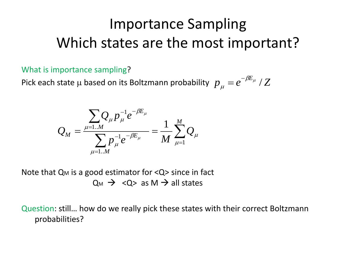## Importance Sampling Which states are the most important?

What is importance sampling?

Pick each state  $\mu$  based on its Boltzmann probability  $p_{\mu}^{} = e^{-\beta E_{\mu}}$  /  $Z$  $\mu$  $=e^{-}$ 

$$
Q_{M} = \frac{\sum_{\mu=1..M} Q_{\mu} p_{\mu}^{-1} e^{-\beta E_{\mu}}}{\sum_{\mu=1..M} p_{\mu}^{-1} e^{-\beta E_{\mu}}} = \frac{1}{M} \sum_{\mu=1}^{M} Q_{\mu}
$$

Note that  $Q_M$  is a good estimator for  $Q >$  since in fact  $Q_M \rightarrow \langle Q \rangle$  as M  $\rightarrow$  all states

Question: still… how do we really pick these states with their correct Boltzmann probabilities?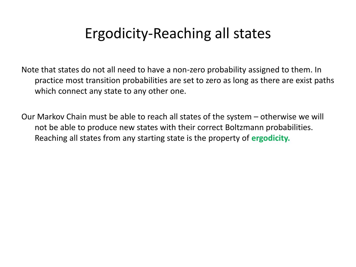## Ergodicity-Reaching all states

Note that states do not all need to have a non-zero probability assigned to them. In practice most transition probabilities are set to zero as long as there are exist paths which connect any state to any other one.

Our Markov Chain must be able to reach all states of the system – otherwise we will not be able to produce new states with their correct Boltzmann probabilities. Reaching all states from any starting state is the property of **ergodicity.**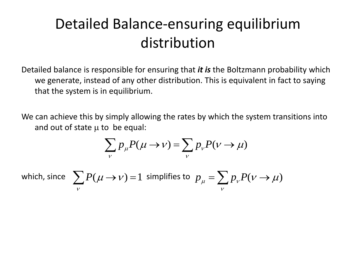## Detailed Balance-ensuring equilibrium distribution

Detailed balance is responsible for ensuring that *it is* the Boltzmann probability which we generate, instead of any other distribution. This is equivalent in fact to saying that the system is in equilibrium.

We can achieve this by simply allowing the rates by which the system transitions into and out of state  $\mu$  to be equal:

$$
\sum_{v} p_{\mu} P(\mu \to v) = \sum_{v} p_{v} P(v \to \mu)
$$

which,

since 
$$
\sum_{v} P(\mu \to v) = 1
$$
 simplifies to  $p_{\mu} = \sum_{v} p_{v} P(v \to \mu)$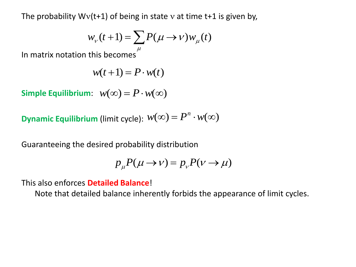The probability  $Wv(t+1)$  of being in state v at time t+1 is given by,

$$
w_{\nu}(t+1) = \sum_{\mu} P(\mu \to \nu) w_{\mu}(t)
$$

In matrix notation this becomes  $\mu$ 

$$
w(t+1) = P \cdot w(t)
$$

 $\mathsf{Simple}\ \mathsf{Equilibrium:}\ \ w(\infty) = P \cdot w(\infty)$ 

**Dynamic Equilibrium** (limit cycle):  $w(\infty) = P^n \cdot w(\infty)$ 

Guaranteeing the desired probability distribution

$$
p_{\mu}P(\mu \to \nu) = p_{\nu}P(\nu \to \mu)
$$

This also enforces **Detailed Balance**!

Note that detailed balance inherently forbids the appearance of limit cycles.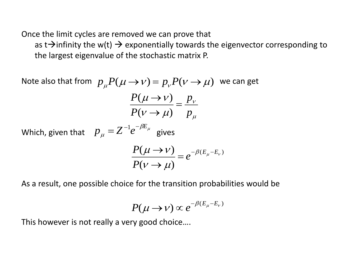Once the limit cycles are removed we can prove that

as t $\rightarrow$  infinity the w(t)  $\rightarrow$  exponentially towards the eigenvector corresponding to the largest eigenvalue of the stochastic matrix P.

Note also that from  $p_{\mu}P(\mu \rightarrow \nu) = p_{\nu}P(\nu \rightarrow \mu)$  we can get

$$
\frac{P(\mu \to \nu)}{P(\nu \to \mu)} = \frac{p_{\nu}}{p_{\mu}}
$$

Which, given that  $p_{\mu} = Z^{-1}e^{-\mu_{\mu}}$  gives  $\beta\!E_\mu$  $\mu$  $p_{\mu} = Z^{-1} e^{-\beta E}$ 

$$
\frac{P(\mu \to \nu)}{P(\nu \to \mu)} = e^{-\beta (E_{\mu} - E_{\nu})}
$$

As a result, one possible choice for the transition probabilities would be

$$
P(\mu \to \nu) \propto e^{-\beta (E_{\mu} - E_{\nu})}
$$

This however is not really a very good choice….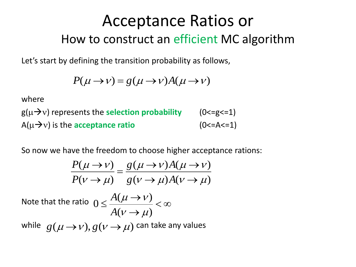## Acceptance Ratios or How to construct an efficient MC algorithm

Let's start by defining the transition probability as follows,

$$
P(\mu \to \nu) = g(\mu \to \nu)A(\mu \to \nu)
$$

where

 $g(\mu \rightarrow v)$  represents the **selection probability** (0<=g<=1)  $A(\mu \rightarrow v)$  is the **acceptance ratio** (0<=A<=1)

So now we have the freedom to choose higher acceptance rations:

$$
\frac{P(\mu \to \nu)}{P(\nu \to \mu)} = \frac{g(\mu \to \nu)A(\mu \to \nu)}{g(\nu \to \mu)A(\nu \to \mu)}
$$

Note that the ratio  $0 \leq \frac{\Delta(\mu \rightarrow \nu)}{n} < \infty$  $\rightarrow$  $\leq \frac{A(\mu \rightarrow)}{A(\mu \rightarrow)}$  $(\nu \rightarrow \mu)$  $(\mu \rightarrow \nu)$ 0  $\mu \rightarrow \mu_{\rm g}$  $\mu \rightarrow \nu$ *A A*

while  $g(\mu \rightarrow \nu), g(\nu \rightarrow \mu)$  can take any values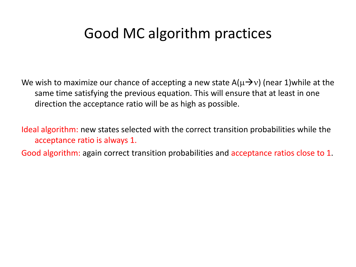### Good MC algorithm practices

We wish to maximize our chance of accepting a new state  $A(\mu\rightarrow v)$  (near 1)while at the same time satisfying the previous equation. This will ensure that at least in one direction the acceptance ratio will be as high as possible.

Ideal algorithm: new states selected with the correct transition probabilities while the acceptance ratio is always 1.

Good algorithm: again correct transition probabilities and acceptance ratios close to 1.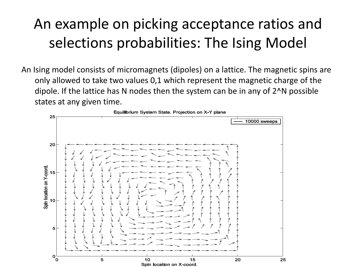## An example on picking acceptance ratios and selections probabilities: The Ising Model

An Ising model consists of micromagnets (dipoles) on a lattice. The magnetic spins are only allowed to take two values 0,1 which represent the magnetic charge of the dipole. If the lattice has N nodes then the system can be in any of 2^N possible states at any given time.

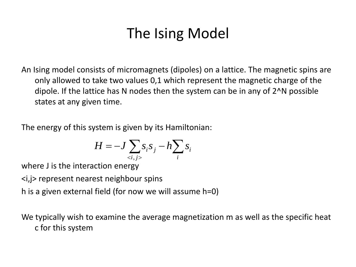## The Ising Model

An Ising model consists of micromagnets (dipoles) on a lattice. The magnetic spins are only allowed to take two values 0,1 which represent the magnetic charge of the dipole. If the lattice has N nodes then the system can be in any of 2^N possible states at any given time.

The energy of this system is given by its Hamiltonian:

$$
H = -J \sum_{\langle i,j \rangle} s_i s_j - h \sum_i s_i
$$

where J is the interaction energy

<i,j> represent nearest neighbour spins

h is a given external field (for now we will assume h=0)

We typically wish to examine the average magnetization m as well as the specific heat c for this system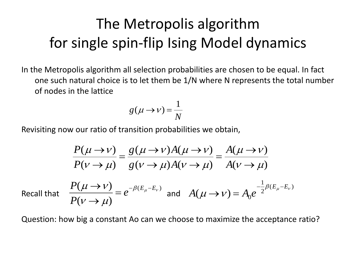## The Metropolis algorithm for single spin-flip Ising Model dynamics

In the Metropolis algorithm all selection probabilities are chosen to be equal. In fact one such natural choice is to let them be 1/N where N represents the total number of nodes in the lattice

$$
g(\mu \to \nu) = \frac{1}{N}
$$

Revisiting now our ratio of transition probabilities we obtain,

$$
\frac{P(\mu \to \nu)}{P(\nu \to \mu)} = \frac{g(\mu \to \nu)A(\mu \to \nu)}{g(\nu \to \mu)A(\nu \to \mu)} = \frac{A(\mu \to \nu)}{A(\nu \to \mu)}
$$
  
nat 
$$
\frac{P(\mu \to \nu)}{P(\nu \to \mu)} = e^{-\beta(E_{\mu} - E_{\nu})}
$$
 and 
$$
A(\mu \to \nu) = A_0 e^{-\frac{1}{2}\beta(E_{\mu} - E_{\nu})}
$$

Recall th

Question: how big a constant Ao can we choose to maximize the acceptance ratio?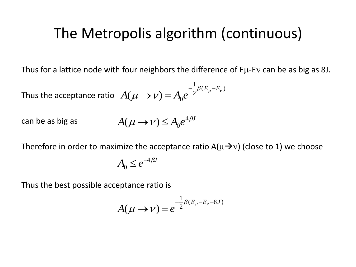#### The Metropolis algorithm (continuous)

Thus for a lattice node with four neighbors the difference of  $E\mu$ -Ev can be as big as 8J.

Thus the acceptance ratio  $(E_{\mu} - E_{\nu})$ 2 1  $(\mu \to \nu) = A_0 e^{-\frac{1}{2}\beta (E_{\mu} - E_{\nu})}$  $\mu \rightarrow \nu$  $E_\mu - E$  $A(\mu \rightarrow \nu) = A_0 e$  $-\frac{1}{2}\beta(E_{\mu} \rightarrow \nu$ ) =

can be as big as  $A(\mu \to \nu) \leq A_0 e^{4\beta \nu}$  $\mu$   $\rightarrow$   $\nu$  $(\mu \rightarrow \nu) \leq A_0$ 

Therefore in order to maximize the acceptance ratio  $A(\mu\rightarrow v)$  (close to 1) we choose

4

$$
A_0 \le e^{-4\beta J}
$$

Thus the best possible acceptance ratio is

$$
A(\mu \to \nu) = e^{-\frac{1}{2}\beta(E_{\mu} - E_{\nu} + 8J)}
$$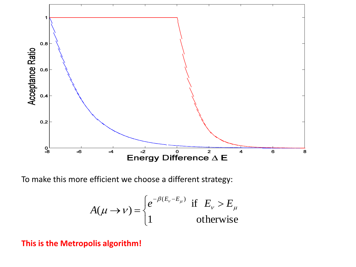

To make this more efficient we choose a different strategy:

$$
A(\mu \to \nu) = \begin{cases} e^{-\beta(E_{\nu} - E_{\mu})} & \text{if } E_{\nu} > E_{\mu} \\ 1 & \text{otherwise} \end{cases}
$$

#### **This is the Metropolis algorithm!**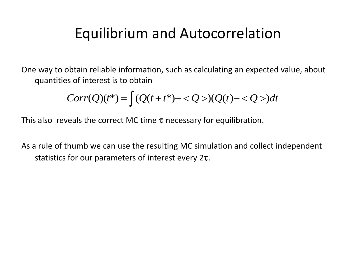## Equilibrium and Autocorrelation

One way to obtain reliable information, such as calculating an expected value, about quantities of interest is to obtain

$$
Corr(Q)(t^*) = \int (Q(t + t^*) - \langle Q \rangle)(Q(t) - \langle Q \rangle)dt
$$

This also reveals the correct MC time  $\tau$  necessary for equilibration.

As a rule of thumb we can use the resulting MC simulation and collect independent statistics for our parameters of interest every  $2\tau$ .